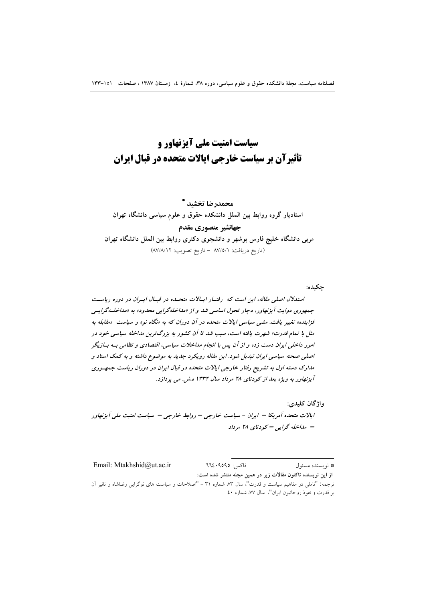# سیاست امنیت ملی آیزنهاور و تأثیرآن بر سیاست خارجی ایالات متحده در قبال ایران

محمدرضا تخشيد \* استادیار گروه روابط بین الملل دانشکده حقوق و علوم سیاسی دانشگاه تهران جهانشير منصوري مقدم مربی دانشگاه خلیج فارس بوشهر و دانشجوی دکتری روابط بین الملل دانشگاه تهران (تاريخ دريافت: ٨٧/٥/١ - تاريخ تصويب: ٨٧/٨/١٢)

حكىدە: استدلال اصلی مقاله، این است که رفتار ایالات متحله در قبال ایران در دوره ریاست جمهوری دوایت آیزنهاور، دجار تحول اساسی شد و از «مداخله گرایی محدود» به «مداخله گرایبی فزاینده» تغییر یافت. مشی سیاسی ایالات متحده در آن دوران که به «نگاه نو» و سیاست «مقابله به مثل با تمام قدرت» شهرت یافته است، سبب شد تا آن کشور به بزرگترین مداخله سیاسی خود در امور داخلی ایران دست زده و از آن پس با انجام مداخلات سیاسی، اقتصادی و نظامی بـه بـازیگر اصلی صحنه سیاسی ایران تبدیل شود. این مقاله رویکرد جدید به موضوع داشته و به کمک اسناد و مدارک دسته اول به تشریح رفتار خارجی ایالات متحده در قبال ایران در دوران ریاست جمهوری آیزنهاور به ویژه بعد از کودتای ۲۸ مرداد سال ۱۳۳۲ ه.ش. می پردازد.

واژگان کليدي: ایالات متحده آمریکا – ایران - سیاست خارجی – روابط خارجی – سیاست امنیت ملی آیزنهاور - مداخله گرایی - کودتای ۲۸ مرداد

Email: Mtakhshid@ut.ac.ir فاكس: ٩٥٩٥: ٦٦٤ \* نويسنده مسئول: از این نویسنده تاکنون مقالات زیر در همین مجله منتشر شده است: ترجمه: "تاملی در مفاهیم سیاست و قدرت"، سال ۷۳، شماره ۳۱ – "اصلاحات و سیاست های نوگرایی رضاشاه و تاثیر آن بر قدرت و نفوذ روحانیون ایران"، سال ۷۷، شماره ٤٠.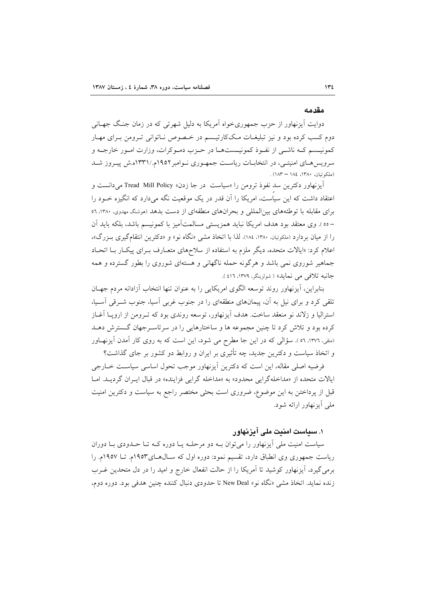#### مقدمه

دوایت آیزنهاور از حزب جمهوریخواه آمریکا به دلیل شهرتی که در زمان جنگ جهـانی دوم کسب کرده بود و نیز تبلیغـات مـککارتیـسم در خـصوص نـاتوانی تـرومن بـرای مهـار كمونيـسم كـه ناشـي از نفـوذ كمونيـستهـا در حـزب دمـوكرات، وزارت امـور خارجـه و سرویسهای امنیتـی، در انتخابـات ریاسـت جمهـوری نـوامبر١٩٥٢م./١٣٣١ه.ش پیـروز شـد (ملكوتيان، ١٣٨٠، ١٨٤ – ١٨٣) .

آیزنهاور دکترین سد نفوذ ترومن را «سیاست "در جا زدن» Tread Mill Policy می دانست و اعتقاد داشت که این سیاست، امریکا را آن قدر در یک موقعیت نگه میدارد که انگیزه خـود را برای مقابله با توطئههای بینالمللی و بحرانهای منطقهای از دست بدهد (موشنگ مهدوی، ۱۳۸۰، ٥٦ –٥٥). وي معتقد بود هدف امريكا نبايد همزيستي مسالمتآميز با كمونيسم باشد، بلكه بايد آن را از میان بردارد (ملکوتیان، ۱۳۸۰، ۱۸٤). لذا با اتخاذ مشی «نگاه نو» و «دکترین انتقامگیری بـزرگ»، اعلام کرد: «ایالات متحده، دیگر ملزم به استفاده از سلاحهای متعـارف بـرای پیکـار بـا اتحـاد جماهیر شوروی نمی باشد و هرگونه حمله ناگهانی و هستهای شوروی را بطور گسترده و همه جانبه تلافي مي نمايد» ( شولزينگر، ١٣٧٩، ٤١٦).

بنابراین، آیزنهاور روند توسعه الگوی امریکایی را به عنوان تنها انتخاب آزادانه مردم جهـان تلقی کرد و برای نیل به آن، پیمانهای منطقهای را در جنوب غربی آسیا، جنوب شـرقی آسـیا، استرالیا و زلاند نو منعقد ساخت. هدف اَیزنهاور، توسعه روندی بود که تــرومن از اروپــا اَغــاز کرده بود و تلاش کرد تا چنین مجموعه ها و ساختارهایی را در سرتاسه جهان گسترش دهـد (متقى، ١٣٧٦، ٥٦). سؤالى كه در اين جا مطرح مى شود، اين است كه به روى كار آمدن آيزنهـاور و اتخاذ سیاست و دکترین جدید، چه تأثیری بر ایران و روابط دو کشور بر جای گذاشت؟

فرضیه اصلی مقاله، این است که دکترین آیزنهاور موجب تحول اساسی سیاست خــارجی ایالات متحده از «مداخلهگرایی محدود» به «مداخله گرایی فزاینده» در قبال ایبران گردیـد. امـا قبل از یرداختن به این موضوع، ضروری است بحثی مختصر راجع به سیاست و دکترین امنیت ملي اّيزنهاور ارائه شود.

# ۱. سیاست امنیت ملی آیزنهاور

سیاست امنیت ملی اَیزنهاور را میتوان بـه دو مرحلـه یـا دوره کـه تـا حـدودی بـا دوران ریاست جمهوری وی انطباق دارد، تقسیم نمود: دوره اول که سـالهـای١٩٥٣م. تــا ١٩٥٧م. را برمی گیرد، آیزنهاور کوشید تا آمریکا را از حالت انفعال خارج و امید را در دل متحدین غـرب زنده نماید. اتخاذ مشی «نگاه نو» New Deal تا حدودی دنبال کننده چنین هدفی بود. دوره دوم،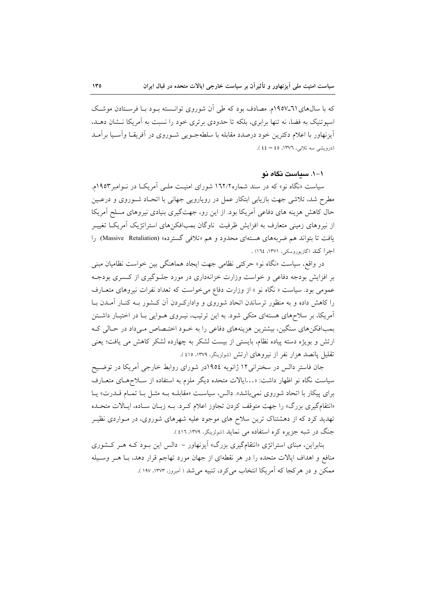که با سالهای ٦١-١٩٥٧م. مصادف بود که طی آن شوروی توانسته بـود بـا فرسـتادن موشـک اسیو تنیک به فضا، نه تنها برابری، بلکه تا حدودی برتری خود را نسبت به آمریکا نــشان دهــد، أيزنهاور با اعلام دكترين خود درصدد مقابله با سلطهجــويي شــوروى در أفريقــا وأسـيا برأمــد (درویشی سه تلانی، ١٣٧٦، ٤٤ – ٤٤).

#### ۱–۱. سىاست نگاه نو

سیاست «نگاه نو» که در سند شماره۱٦۲/۲ شورای امنیت ملـی آمریکـا در نـوامبر ۱۹۵۳م. مطرح شد، تلاشی جهت بازیابی ابتکار عمل در رویارویی جهانی با اتحـاد شـوروی و درعـین حال کاهش هزینه های دفاعی آمریکا بود. از این رو، جهتگیری بنیادی نیروهای مسلح آمریکا از نیروهای زمینی متعارف به افزایش ظرفیت ناوگان بمبافکنهای استراتژیک آمریکـا تغییـر یافت تا بتواند هم ضربههای هستهای محدود و هم «تلافی گسترده» (Massive Retaliation) را اجرا كند (گازيوروسكي، ١٣٧١، ١٦٤) .

در واقع، سیاست «نگاه نو» حرکتی نظامی جهت ایجاد هماهنگی بین خواست نظامیان مبنی بر افزایش بودجه دفاعی و خواست وزارت خزانهداری در مورد جلـوگیری از کـسری بودجـه عمومی بود. سیاست « نگاه نو » از وزارت دفاع می خواست که تعداد نفرات نیروهای متعـارف را کاهش داده و به منظور ترساندن اتحاد شوروی و وادارک دن آن کـشور بـه کنـار آمـدن بـا آمریکا، بر سلاحهای هستهای متکی شود. به این ترتیب، نیـروی هـوایی بـا در اختیـار داشـتن بمبافکنهای سنگین، بیشترین هزینههای دفاعی را به خـود اختـصاص مـیداد در حـالی کـه ارتش و بویژه دسته پیاده نظام، بایستی از بیست لشکر به چهارده لشکر کاهش می یافت؛ یعنی تقلیل پانصد هزار نفر از نیروهای ارتش (شولزینگر، ۱۳۷۹، ٤١٥).

جان فاستر دالس در سخنرانی ۱۲ ژانویه ۱۹۵٤در شورای روابط خارجی آمریکا در توضـیح سیاست نگاه نو اظهار داشت: «…ایالات متحده دیگر ملزم به استفاده از سـلاحهـای متعـارف برای پیکار با اتحاد شوروی نمیباشد». دالس، سیاست «مقابلـه بـه مثـل بـا تمـام قــدرت» یـا «انتقامگیری بزرگ» را جهت متوقف کردن تجاوز اعلام کـرد. بـه زبـان سـاده، ايـالات متحـده تهدید کرد که از دهشتناک ترین سلاح های موجود علیه شهرهای شوروی، در مـواردی نظیـر جنگ در شبه جزیره کره استفاده می نماید (شولزینگر، ۱۳۷۹، ٤١٦).

بنابراین، مبنای استراتژی «انتقامگیری بزرگ» آیزنهاور - دالس این بـود کـه هـر کـشوری منافع و اهداف ایالات متحده را در هر نقطهای از جهان مورد تهاجم قرار دهد، بـا هــر وسـيله ممکن و در هرکجا که آمریکا انتخاب می کرد، تنبیه می شد ( آمبروز، ۱۳۷۳، ۱۹۷).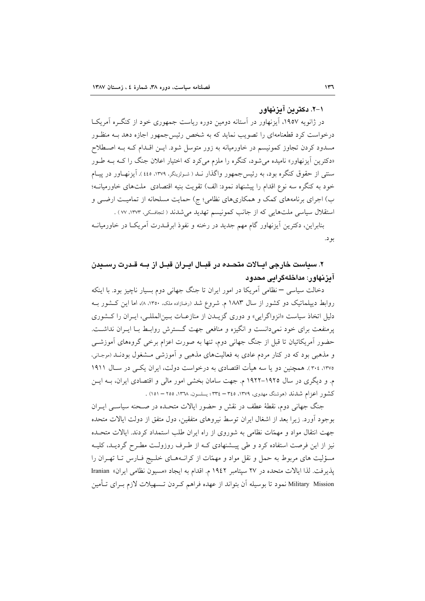#### ۱–۲. دکترین آیزنهاور

در ژانویه ۱۹۵۷، آیزنهاور در آستانه دومین دوره ریاست جمهوری خود از کنگ ه آمریکا درخواست کرد قطعنامهای را تصویب نماید که به شخص رئیس جمهور اجازه دهد بـه منظـور مسدود کردن تجاوز کمونیسم در خاورمیانه به زور متوسل شود. ایــن اقــدام کـه بــه اصــطلاح «دکترین اَیزنهاور» نامیده می شود، کنگره را ملزم می کرد که اختیار اعلان جنگ را کـه بـه طـور سنتی از حقوق کنگره بود، به رئیس جمهور واگذار نــد ( شـولزینگر، ۱۳۷۹، ٤٤٥ ). آیزنهـاور در پیـام خود به کنگره سه نوع اقدام را پیشنهاد نمود: الف) تقویت بنیه اقتصادی ً ملتهای خاورمیانــه؛ ب) اجرای برنامههای کمک و همکاریهای نظامی؛ ج) حمایت مسلحانه از تمامیت ارضـی و استقلال سیاسی ملتهایی که از جانب کمونیسم تهدید می شدند ( لنجافسکی، ۱۳۷۳، ۷۷) .

بنابراین، دکترین اَیزنهاور گام مهم جدید در رخنه و نفوذ ابرقــدرت اَمریکــا در خاورمیانــه بو د.

# ۲. سیاست خارجی ایــالات متحـده در قبــال ایــران قبــل از بــه قــدرت رســیدن آیزنهاور: مداخلهگرایی محدود

دخالت سیاسی – نظامی آمریکا در امور ایران تا جنگ جهانی دوم بسیار ناچیز بود. با اینکه روابط دیپلماتیک دو کشور از سال ۱۸۸۳ م. شروع شد (رضازاده ملک، ۱۳۵۰، ۸)، اما این کـشور بـه دلیل اتخاذ سیاست «انزواگرایی» و دوری گزیــدن از منازعــات بــین|لمللــی، ایــران را کــشوری پرمنفعت برای خود نمیدانست و انگیزه و منافعی جهت گسترش روابط بـا ایـران نداشـت. حضور آمریکائیان تا قبل از جنگ جهانی دوم، تنها به صورت اعزام برخی گروههای آموزشبی و مذهبی بود که در کنار مردم عادی به فعالیتهای مذهبی و آموزشی مشغول بودنـد (موجـانی، ۱۳۷۵، ۳۰٤). همچنین دو یا سه هیأت اقتصادی به درخواست دولت، ایران یکسی در سـال ۱۹۱۱ م. و دیگری در سال ۱۹۲۵–۱۹۲۲ م. جهت سامان بخشی امور مالی و اقتصادی ایران، بـه ایــن كشور اعزام شدند (هوشنگ مهدوی، ۱۳۷۹، ۳۶۵– ۳۳٤؛ يسلسون، ۱۳۷۸، ۲۵۵ – ۱۵۱) .

جنگ جهانی دوم، نقطهٔ عطف در نقش و حضور ایالات متحـده در صـحنه سیاسـی ایــران بوجود أورد. زیرا بعد از اشغال ایران توسط نیروهای متفقین، دول متفق از دولت ایالات متحده جهت انتقال مواد و مهمّات نظامی به شوروی از راه ایران طلب استمداد کردند. ایالات متحده نیز از این فرصت استفاده کرد و طی پیـشنهادی کـه از طـرف روزولـت مطـرح گردیـد، کلیـه مسؤلیت های مربوط به حمل و نقل مواد و مهمّات از کرانـههـای خلـیج فـارس تـا تهـران را پذیرفت. لذا ایالات متحده در ٢٧ سپتامبر ١٩٤٢ م. اقدام به ایجاد «مسیون نظامی ایران» Iranian Military Mission نمود تا بوسیله آن بتواند از عهده فراهم کـردن تـسهیلات لازم بـرای تــأمین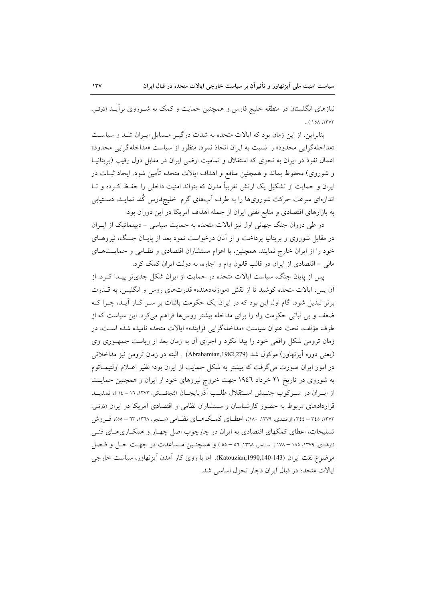نیازهای انگلستان در منطقه خلیج فارس و همچنین حمایت و کمک به شـوروی برآیــد (دوقـی،  $(10A.1$ 

بنابراین، از این زمان بود که ایالات متحده به شدت درگیـر مـسایل ایـران شـد و سیاسـت «مداخلهگرایی محدود» را نسبت به ایران اتخاذ نمود. منظور از سیاست «مداخلهگرایی محدود» اعمال نفوذ در ایران به نحوی که استقلال و تمامیت ارضی ایران در مقابل دول رقیب (بریتانیــا و شوروی) محفوظ بماند و همچنین منافع و اهداف ایالات متحده تأمین شود. ایجاد ثبــات در ایران و حمایت از تشکیل یک ارتش تقریباً مدرن که بتواند امنیت داخلی را حفظ کـرده و تـا اندازهای سرعت حرکت شورویها را به طرف آبهای گرم خلیجفارس کُند نمایـد، دسـتیابی به بازارهای اقتصادی و منابع نفتی ایران از جمله اهداف آمریکا در این دوران بود.

در طی دوران جنگ جهانی اول نیز ایالات متحده به حمایت سیاسی – دیپلماتیک از ایــران در مقابل شوروی و بریتانیا پرداخت و از آنان درخواست نمود بعد از پایـان جنـگ، نیروهــای خود را از ایران خارج نمایند. همچنین، با اعزام مستشاران اقتصادی و نظـامی و حمایـتهـای مالي – اقتصادي از ايران در قالب قانون وام و اجاره، به دولت ايران كمك كرد.

پس از پایان جنگ، سیاست ایالات متحده در حمایت از ایران شکل جدیتر پیـدا کـرد. از آن پس، ایالات متحده کوشید تا از نقش «موازنهدهنده» قدرتهای روس و انگلیس، به قــدرت برتر تبدیل شود. گام اول این بود که در ایران یک حکومت باثبات بر سـر کـار آیـد، چـرا کـه ضعف و بی ثباتی حکومت راه را برای مداخله بیشتر روسها فراهم می کرد. این سیاست که از طرف مؤلف، تحت عنوان سياست «مداخلهگرايي فزاينده» ايالات متحده ناميده شده است، در زمان ترومن شکل واقعی خود را پیدا نکرد و اجرای آن به زمان بعد از ریاست جمهوری وی (یعنی دوره ایزنهاور) موکول شد (Abrahamian,1982,279) . البته در زمان ترومن نیز مداخلاتی در امور ایران صورت می گرفت که بیشتر به شکل حمایت از ایران بود؛ نظیر اعـلام اولتیمـاتوم به شوروی در تاریخ ۲۱ خرداد ۱۹٤٦ جهت خروج نیروهای خود از ایران و همچنین حمایت از ایــران در ســرکوب جنــبش اســتقلال طلــب آذربایجــان (لنجافــسکی، ١٣٧٣، ١٦ - ١٤ )، تمدیــد قراردادهای مربوط به حضور کارشناسان و مستشاران نظامی و اقتصادی آمریکا در ایران (دوقی، ۱۳۷۲، ۳٤٥ – ۳٤٤؛ ازغنـدي، ۱۳۷۹، ۱۸۰)، اعطــاي كمـــكـهــاي نظــامي (سـنجر، ۱۳۷۸، ٦۳ – ٥٥)، فــروش تسلیحات، اعطای کمکهای اقتصادی به ایران در چارچوب اصل چهـار و همکـاریهـای فنـی (ازغندي، ١٣٧٩، ١٨٥ – ١٧٨ ؛ سنجر، ١٣٦٨، ٥٦ – ٥٥) و همچنـين مـساعدت در جهـت حـل و فـصل موضوع نفت ایران (Katouzian,1990,140-143). اما با روی کار آمدن اَیزنهاور، سیاست خارجی ایالات متحده در قبال ایران دچار تحول اساسی شد.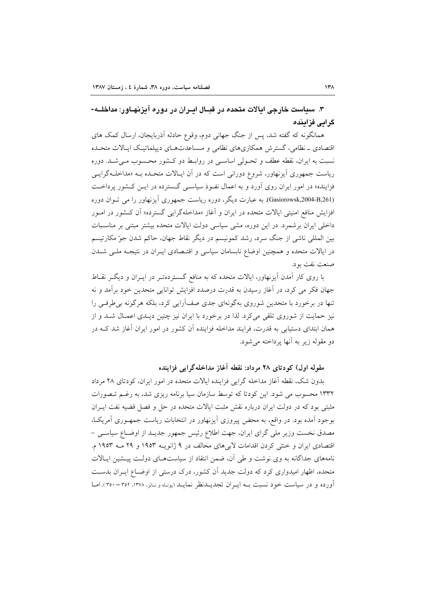۳. سیاست خارجی ایالات متحده در قبـال ایـران در دوره آیزیهـاور: مداخلــه-گرائے فزائندہ

همانگونه که گفته شد، پس از جنگ جهانی دوم، وقوع حادثه آذربایجان، ارسال کمک های اقتصادی ـ نظامی، گسترش همکاریهای نظامی و مساعدتهای دیپلماتیک ایالات متحـده نسبت به ایران، نقطه عطف و تحـولی اساسـی در روابـط دو کـشور محـسوب مـی شـد. دوره ریاست جمهوری آیزنهاور، شروع دورانی است که در آن ایـالات متحـده بـه «مداخلـهگرایـی فزاینده» در امور ایران روی آورد و به اعمال نفوذ سیاسی گسترده در ایـن کشور پرداخـت (Gasiorowsk,2004-B,261). به عبارت دیگر، دوره ریاست جمهوری آیزنهاور را می تـوان دوره افزایش منافع امنیتی ایالات متحده در ایران و آغاز «مداخلهگرایی گسترده» آن کـشور در امـور داخلی ایران برشمرد. در این دوره، مشی سیاسی دولت ایالات متحده بیشتر مبتنی بر مناسـبات بین المللی ناشی از جنگ سرد، رشد کمونیسم در دیگر نقاط جهان، حاکم شدن جو ٌمکارتیسم در ایالات متحده و همچنین اوضاع نابسامان سیاسی و اقتـصادی ایـران در نتیجـه ملـی شــدن صنعت نفت بود.

با روی کار آمدن آیزنهاور، ایالات متحده که به منافع گستردهتـر در ایــران و دیگــر نقــاط جهان فکر می کرد، در آغاز رسیدن به قدرت درصدد افزایش توانایی متحدین خود برآمد و نه تنها در برخورد با متحدین شوروی بهگونهای جدی صفآرایی کرد، بلکه هرگونه بی طرفی را نیز حمایت از شوروی تلقی میکرد. لذا در برخورد با ایران نیز چنین دیـدی اعمـال شـد و از همان ابتدای دستیابی به قدرت، فرایند مداخله فزاینده آن کشور در امور ایران آغاز شد کـه در دو مقوله زير به آنها پرداخته مي شود.

مقوله اول) کودتای ۲۸ مرداد: نقطه آغاز مداخلهگرایی فزاینده

بدون شک، نقطه آغاز مداخله گرایی فزاینده ایالات متحده در امور ایران، کودتای ۲۸ مرداد ۱۳۳۲ محسوب می شود. این کودتا که توسط سازمان سیا برنامه ریزی شد، به رغـم تـصورات مثبتی بود که در دولت ایران درباره نقش مثبت ایالات متحده در حل و فصل قضیه نفت ایــران بوجود آمده بود. در واقع، به محض پیروزی آیزنهاور در انتخابات ریاست جمهـوری آمریکـا، مصدق نخست وزیر ملی گرای ایران، جهت اطلاع رئیس جمهور جدیـد از اوضـاع سیاسـی – اقتصادی ایران و خنثی کردن اقدامات لابیهای مخالف در ۹ ژانویـه ۱۹۵۳ و ۲۹ مـه ۱۹۵۳ م. نامههای جداگانه به وی نوشت و طی آن، ضمن انتقاد از سیاستهـای دولـت پیـشین ایـالات متحده، اظهار امیدواری کرد که دولت جدید آن کشور، درک درستی از اوضـاع ایـران بدسـت آورده و در سیاست خود نسبت بـه ایـران تجدیــدنظر نمایــد (یونـاه و نـانز، ۱۳۷۸، ۳۵۲ – ۳۵۰). امــا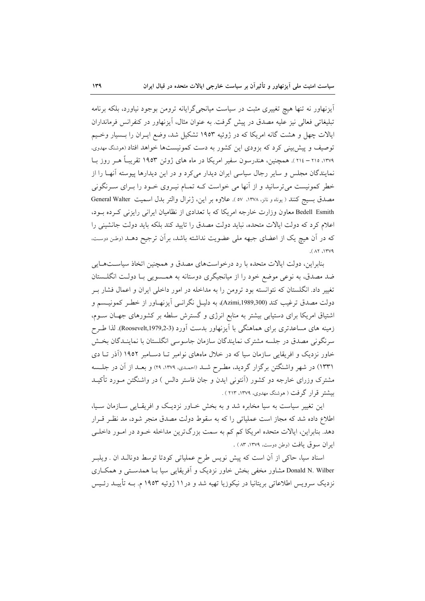اًیزنهاور نه تنها هیچ تغییری مثبت در سیاست میانجیگرایانه ترومن بوجود نیاورد، بلکه برنامه تبلیغاتی فعالی نیز علیه مصدق در پیش گرفت. به عنوان مثال، آیزنهاور در کنفرانس فرمانداران ایالات چهل و هشت گانه امریکا که در ژوئیه ۱۹۵۳ تشکیل شد، وضع ایـران را بـسیار وخـیم توصیف و پیش بینی کرد که بزودی این کشور به دست کمونیستها خواهد افتاد (موشنگ مهدوی، ۱۳۷۹، ۲۱۵ – ۲۱٤). همچنین، هندرسون سفیر امریکا در ماه های ژوئن ۱۹۵۳ تقریبـاً هــر روز بــا نمایندگان مجلس و سایر رجال سیاسی ایران دیدار میکرد و در این دیدارها پیوسته آنهـا را از خطر کمونیست میترسانید و از آنها می خواست کـه تمـام نیـروی خـود را بـرای سـرنگونی مصدق بسيج كنند ( يوناه و نانز، ١٣٧٨، ٥٧). علاوه بر اين، ژنرال والتر بدل اسميت General Walter Bedell Esmith معاون وزارت خارجه امريكا كه با تعدادى از نظاميان ايراني رايزني كرده بود، اعلام کرد که دولت ایالات متحده، نباید دولت مصدق را تایید کند بلکه باید دولت جانشینی را که در آن هیچ یک از اعضای جبهه ملی عضویت نداشته باشد، برآن ترجیح دهــد (وطـن دوسـت.  $(11)$ 

بنابراین، دولت ایالات متحده با رد درخواستهای مصدق و همچنین اتخاذ سیاستهایی ضد مصدق، به نوعی موضع خود را از میانجیگری دوستانه به همـسویی بـا دولـت انگلـستان تغییر داد. انگلستان که نتوانسته بود ترومن را به مداخله در امور داخلی ایران و اعمال فشار بـر دولت مصدق ترغيب كند (Azimi,1989,300)، به دليـل نگرانـبي آيزنهـاور از خطـر كمونيـسم و اشتیاق امریکا برای دستیابی بیشتر به منابع انرژی و گسترش سلطه بر کشورهای جهـان ســوم، زمینه های مساعدتری برای هماهنگی با اَیزنهاور بدست اَورد (Roosevelt,1979,2-3). لذا طـرح سرنگونی مصدق در جلسه مشترک نمایندگان سازمان جاسوسی انگلستان با نماینـدگان بخـش خاور نزدیک و افریقایی سازمان سیا که در خلال ماههای نوامبر تـا دسـامبر ۱۹۵۲ (آذر تـا دی ۱۳۳۱) در شهر واشنگتن برگزار گردید، مطـرح شـد (احمـدي، ۱۳۷۹، ۲۹) و بعـد از آن در جلـسه مشترک وزرای خارجه دو کشور (اَنتونی ایدن و جان فاستر دالس ) در واشنگتن مـورد تأکیــد بیشتر قرار گرفت ( هوشنگ مهدوی، ۱۳۷۹، ۲۱۳ ) .

این تغییر سیاست به سیا مخابره شد و به بخش خـاور نزدیـک و افریقـایی سـازمان سـیا، اطلاع داده شد که مجاز است عملیاتی را که به سقوط دولت مصدق منجر شود، مد نظـر قـرار دهد. بنابراین، ایالات متحده امریکا کم کم به سمت بزرگترین مداخله خـود در امـور داخلـی ايران سوق يافت (وطن دوست، ١٣٧٩، ٨٣ ) .

اسناد سیا، حاکی از آن است که پیش نویس طرح عملیاتی کودتا توسط دونالـد ان . ویلبـر Donald N. Wilber مشاور مخفی بخش خاور نزدیک و آفریقایی سیا بـا همدسـتی و همکـاری نزدیک سرویس اطلاعاتی بریتانیا در نیکوزیا تهیه شد و در ۱۱ ژوئیه ۱۹۵۳ م. بــه تأییــد رئــیس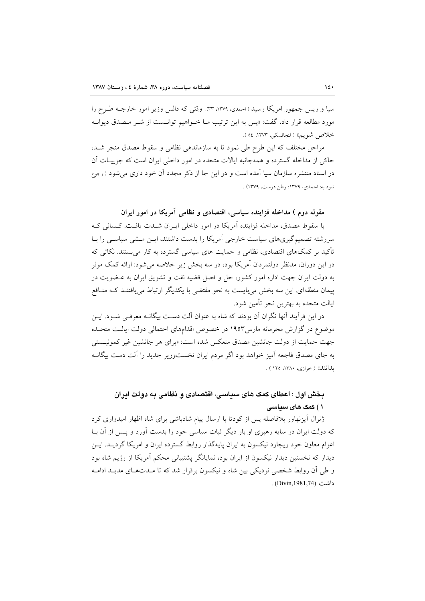سیا و ریس جمهور امریکا رسید ( احمدی، ٣٣،١٣٧٩). وقتی که دالس وزیر امور خارجـه طـرح را مورد مطالعه قرار داد، گفت: «پس به این ترتیب مــا خــواهیم توانــست از شــر مــصدق دیوانــه خلاص شويم» ( لنجافسكي، ١٣٧٣، ٥٤ ).

مراحل مختلف که این طرح طی نمود تا به سازماندهی نظامی و سقوط مصدق منجر شـد، حاکی از مداخله گسترده و همهجانبه ایالات متحده در امور داخلی ایران است که جزییـات آن در اسناد منتشره سازمان سیا آمده است و در این جا از ذکر مجدد آن خود داری می شود ( رجوع شود به: احمدي، ١٣٧٩؛ وطن دوست، ١٣٧٩) .

# مقوله دوم ) مداخله فزاینده سیاسی، اقتصادی و نظامی آمریکا در امور ایران

با سقوط مصدق، مداخله فزاینده آمریکا در امور داخلی ایـران شــدت یافـت. کــسانی کـه سررشته تصمیمگیریهای سیاست خارجی آمریکا را بدست داشتند، ایــن مــشی سیاســی را بــا تأکید بر کمکهای اقتصادی، نظامی و حمایت های سیاسی گسترده به کار می بستند. نکاتی که در این دوران، مدنظر دولتمردان آمریکا بود، در سه بخش زیر خلاصه می شود: ارائه کمک موثر به دولت ایران جهت اداره امور کشور، حل و فصل قضیه نفت و تشویق ایران به عـضویت در پیمان منطقهای این سه بخش می بایست به نحو مقتضی با یکدیگر ارتباط می یافتنـد کــه منــافع ايالت متحده به بهترين نحو تأمين شود.

در این فرآیند آنها نگران آن بودند که شاه به عنوان آلت دست بیگانــه معرفــی شــود. ایــن موضوع در گزارش محرمانه مارس۱۹۵۳ در خصوص اقدامهای احتمالی دولت ایالت متحـده جهت حمایت از دولت جانشین مصدق منعکس شده است: «برای هر جانشین غیر کمونیـستی به جای مصدق فاجعه آمیز خواهد بود اگر مردم ایران نخستوزیر جدید را آلت دست بیگانــه بدانند» ( خرازی، ۱۳۸۰، ۱۲۵ ) .

# بخش اول : اعطای کمک های سیاسی، اقتصادی و نظامی به دولت ابران ۱ ) کمک های سیاسی

ژنرال آیزنهاور بلافاصله پس از کودتا با ارسال پیام شادباشی برای شاه اظهار امیدواری کرد که دولت ایران در سایه رهبری او بار دیگر ثبات سیاسی خود را بدست آورد و پـس از آن بــا اعزام معاون خود ریچارد نیکسون به ایران پایهگذار روابط گسترده ایران و امریکا گردیــد. ایــن دیدار که نخستین دیدار نیکسون از ایران بود، نمایانگر پشتیبانی محکم آمریکا از رژیم شاه بود و طی آن روابط شخصی نزدیکی بین شاه و نیکسون برقرار شد که تا مـدتهـای مدیـد ادامـه داشت (Divin,1981,74) .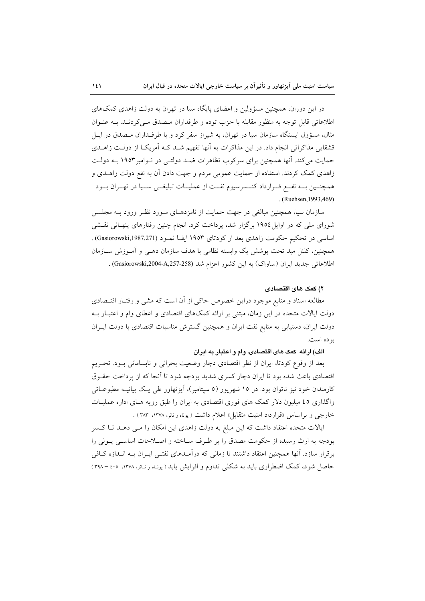در این دوران، همچنین مسؤولین و اعضای پایگاه سیا در تهران به دولت زاهدی کمکهای اطلاعاتی قابل توجه به منظور مقابله با حزب توده و طرفداران میصدق مے کردنید. بیه عنبوان مثال، مسؤول ایستگاه سازمان سیا در تهران، به شیراز سفر کرد و با طرفـداران مـصدق در ایــل قشقایی مذاکراتی انجام داد. در این مذاکرات به آنها تفهیم شـد کـه آمریکـا از دولـت زاهـدی حمایت می کند. آنها همچنین برای سرکوب تظاهرات ضـد دولتـی در نـوامبر ۱۹۵۳ بـه دولـت زاهدی کمک کردند. استفاده از حمایت عمومی مردم و جهت دادن آن به نفع دولت زاهـدی و همچنــین بــه نفــع قــرارداد کنــسرسیوم نفــت از عملیــات تبلیغــی ســیا در تهــران بــود . (Ruehsen, 1993, 469)

سازمان سیا، همچنین مبالغی در جهت حمایت از نامزدهـای مـورد نظـر ورود بــه مجلـس شورای ملی که در اوایل ۱۹۵٤ برگزار شد، پرداخت کرد. انجام چنین رفتارهای پنهـانی نقـشی اساسی در تحکیم حکومت زاهدی بعد از کودتای ۱۹۵۳ ایف نمـود (Gasiorowski,1987,271) . همچنین، کلنل مید تحت پوشش یک وابسته نظامی با هدف سازمان دهـبی و اَمـوزش ســازمان اطلاعاتی جدید ایران (ساواک) به این کشور اعزام شد (A,257-258). (Gasiorowski,2004-A,257-258).

#### ۲) کمک های اقتصادی

مطالعه اسناد و منابع موجود دراین خصوص حاکی از آن است که مشی و رفتـار اقتـصادی دولت ایالات متحده در این زمان، مبتنی بر ارائه کمکهای اقتصادی و اعطای وام و اعتبـار بـه دولت ایران، دستیابی به منابع نفت ایران و همچنین گسترش مناسبات اقتصادی با دولت ایـران بو ده است.

#### الف) ارائه كمك هاى اقتصادى، وام و اعتبار به ايران

بعد از وقوع کودتا، ایران از نظر اقتصادی دچار وضعیت بحرانی و نابسامانی بـود. تحـریم اقتصادی باعث شده بود تا ایران دچار کسری شدید بودجه شود تا آنجا که از پرداخت حقـوق کارمندان خود نیز ناتوان بود. در ۱۵ شهریور (۵ سپتامبر)، آیزنهاور طی یک بیانیـه مطبوعـاتی واگذاری ٤٥ میلیون دلار کمک های فوری اقتصادی به ایران را طبق رویه هـای اداره عملیـات خارجی و براساس «قرارداد امنیت متقابل» اعلام داشت ( یوناه و نانز، ۱۳۷۸، ۳۸۳) .

ایالات متحده اعتقاد داشت که این مبلغ به دولت زاهدی این امکان را مـی دهـد تـا کـسر بودجه به ارث رسیده از حکومت مصدق را بر طـرف سـاخته و اصـلاحات اساسـی پـولی را برقرار سازد. آنها همچنین اعتقاد داشتند تا زمانی که درآمـدهای نفتـی ایـران بـه انـدازه کـافی حاصل شود، کمک اضطراری باید به شکلی تداوم و افزایش یابد ( یوناه و نانز، ۱۳۷۸، ۴۰۰- ۳۹۸)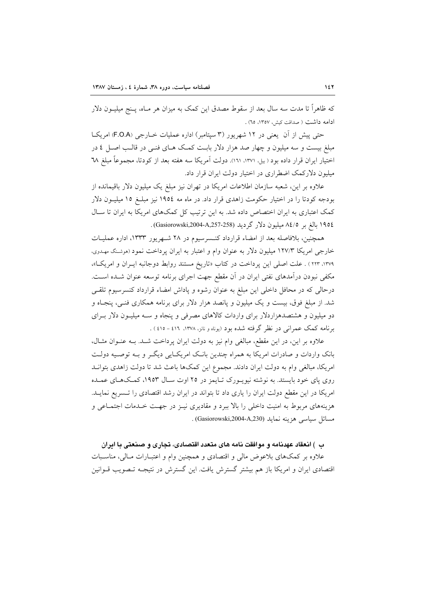که ظاهراً تا مدت سه سال بعد از سقوط مصدق این کمک به میزان هر مـاه، پــنج میلیــون دلار ادامه داشت ( صداقت کش ، ۱۳۵۷، ۲۵) .

حتی پیش از آن یعنی در ۱۲ شهریور (۳ سپتامبر) اداره عملیات خـارجی (F.O.A) امریکـا مبلغ بیست و سه میلیون و چهار صد هزار دلار بابـت کمـک هـای فنـی در قالـب اصـل ٤ در اختیار ایران قرار داده بود (بیل ۱۳۷۱، ۱۳۱). دولت آمریکا سه هفته بعد از کودتا، مجموعاً مبلغ ۳۸ میلیون دلارکمک اضطراری در اختیار دولت ایران قرار داد.

علاوه بر این، شعبه سازمان اطلاعات امریکا در تهران نیز مبلغ یک میلیون دلار باقیمانده از بودجه کودتا را در اختیار حکومت زاهدی قرار داد. در ماه مه ١٩٥٤ نیز مبلـغ ١٥ میلیــون دلار کمک اعتباری به ایران اختصاص داده شد. به این ترتیب کل کمکهای امریکا به ایران تا سـال ١٩٥٤ بالغ بر ٨٤/٥ ميليون دلار گرديد (Gasiorowski,2004-A,257-258).

همچنین، بلافاصله بعد از امضاء قرارداد کنـسرسیوم در ۲۸ شـهریور ۱۳۳۳، اداره عملیـات خارجی امریکا ۱۲۷/۳ میلیون دلار به عنوان وام و اعتبار به ایران پرداخت نمود (موشنگ مهـدوی. ۱۳۷۹، ۱۲۳۳ ) . علت اصلی این پرداخت در کتاب «تاریخ مستند روابط دوجانبه ایــران و امریک)»، مکفی نبودن درآمدهای نفتی ایران در آن مقطع جهت اجرای برنامه توسعه عنوان شـده اسـت. درحالی که در محافل داخلی این مبلغ به عنوان رشوه و پاداش امضاء قرارداد کنسرسیوم تلقـی شد. از مبلغ فوق، بیست و یک میلیون و پانصد هزار دلار برای برنامه همکاری فنـی، پنجـاه و دو میلیون و هشتصدهزاردلار برای واردات کالاهای مصرفی و پنجاه و سـه میلیـون دلار بـرای برنامه کمک عمرانی در نظر گرفته شده بود (یوناه و نانز، ۱۳۷۸، ٤١٦ - ٤١٥) .

علاوه بر این، در این مقطع، مبالغی وام نیز به دولت ایران پرداخت شـد. بـه عنـوان مثـال، بانک واردات و صادرات امریکا به همراه چندین بانک امریکایی دیگر و بـه توصـیه دولـت امریکا، مبالغی وام به دولت ایران دادند. مجموع این کمکها باعث شد تا دولت زاهدی بتوانـد روی پای خود بایستد. به نوشته نیویـورک تـایمز در ۲۵ اوت سـال ۱۹۵۳، کمـک۵هـای عمـده امریکا در این مقطع دولت ایران را یاری داد تا بتواند در ایران رشد اقتصادی را تـسریع نمایـد. هزینههای مربوط به امنیت داخلی را بالا ببرد و مقادیری نیـز در جهـت خـدمات اجتمـاعی و مسائل سياسي هزينه نمايد (Gasiorowski,2004-A,230) .

### ب ) انعقاد عهدنامه و موافقت نامه های متعدد اقتصادی، تجاری و صنعتی با ایران

علاوه بر کمکهای بلاعوض مالی و اقتصادی و همچنین وام و اعتبـارات مـالی، مناسـبات اقتصادی ایران و امریکا باز هم بیشتر گسترش یافت. این گسترش در نتیجـه تـصویب قــوانین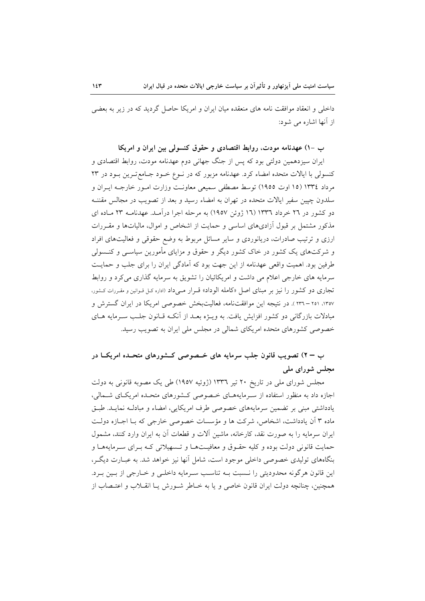داخلی و انعقاد موافقت نامه های منعقده میان ایران و امریکا حاصل گردید که در زیر به بعضی از آنها اشاره مر شود:

# ب -۱) عهدنامه مودت، روابط اقتصادی و حقوق کنسولی بین ایران و امریکا

ایران سیزدهمین دولتی بود که پس از جنگ جهانی دوم عهدنامه مودت، روابط اقتصادی و کنسولی با ایالات متحده امضاء کرد. عهدنامه مزبور که در نـوع خـود جـامع تـرین بـود در ۲۳ مرداد ١٣٣٤ (١٥ اوت ١٩٥٥) توسط مصطفى سميعي معاونت وزارت امـور خارجـه ايـران و سلدون چیین سفیر ایالات متحده در تهران به امضاء رسید و بعد از تصویب در مجالس مقننـه دو کشور در ۲۲ خرداد ۱۳۳٦ (۱۲ ژوئن ۱۹۵۷) به مرحله اجرا درآمـد. عهدنامــه ۲۳ مـاده ای مذکور مشتمل بر قبول آزادیهای اساسی و حمایت از اشخاص و اموال، مالیاتها و مقـررات ارزی و ترتیب صادرات، دریانوردی و سایر مسائل مربوط به وضع حقوقی و فعالیتهای افراد و شرکتهای یک کشور در خاک کشور دیگر و حقوق و مزایای مأمورین سیاســی و کنــسولی طرفین بود. اهمیت واقعی عهدنامه از این جهت بود که آمادگی ایران را برای جلب و حمایت سرمایه های خارجی اعلام می داشت و امریکائیان را تشویق به سرمایه گذاری می کرد و روابط تجاری دو کشور را نیز بر مبنای اصل «کامله الوداد» قـرار مـیداد (اداره کـل قـوانین و مقـررات کـشور، ۱۳۵۷، ۲۰۱۱ – ۲۳۱ ). در نتیجه این موافقتنامه، فعالیتبخش خصوصی امریکا در ایران گسترش و مبادلات بازرگانی دو کشور افزایش یافت. به ویـژه بعـد از آنکـه قـانون جلـب سـرمایه هــای خصوصی کشورهای متحده امریکای شمالی در مجلس ملی ایران به تصویب رسید.

# ب = ٢) تصویب قانون جلب سرمایه های خــصوصی کــشورهای متحــده امریکــا در مجلس شورای ملی

مجلس شورای ملی در تاریخ ۲۰ تیر ۱۳۳۲ (ژوئیه ۱۹۵۷) طی یک مصوبه قانونی به دولت اجازه داد به منظور استفاده از سـرمایههـای خـصوصی کـشورهای متحـده امریکـای شـمالی، یادداشتی مبنی بر تضمین سرمایههای خصوصی طرف امریکایی، امضاء و مبادلـه نمایـد. طبـق ماده ۳ آن یادداشت، اشخاص، شرکت ها و مؤسسات خصوصی خارجی که بـا اجـازه دولـت ابران سرمایه را به صورت نقد، کارخانه، ماشین آلات و قطعات آن به ایران وارد کنند، مشمول حمایت قانونی دولت بوده و کلیه حقـوق و معافیـتهـا و تـسهیلاتی کـه بـرای سـرمایههـا و بنگاههای تولیدی خصوصی داخلی موجود است، شامل آنها نیز خواهد شد. به عبـارت دیگـر، این قانون هرگونه محدودیتی را نـسبت بـه تناسـب سـرمایه داخلـی و خــارجی از بــین بـرد. همچنین، چنانچه دولت ایران قانون خاصی و یا به خــاطر شــورش یــا انقــلاب و اعتــصاب از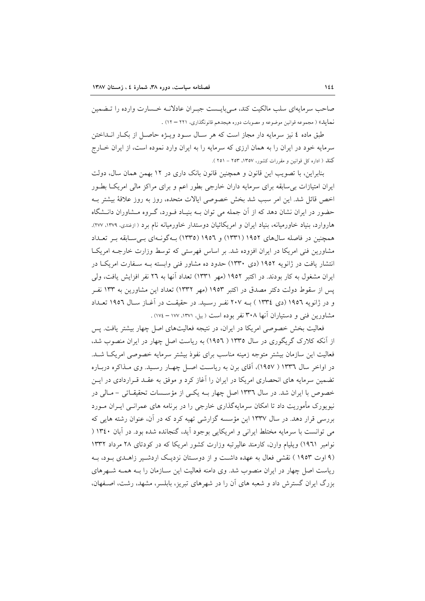صاحب سرمایهای سلب مالکیت کند، مے بایـست جبـران عادلانـه خـسارت وارده را تـضمین نمايد» ( مجموعه قوانين موضوعه و مصوبات دوره هيجدهم قانونگذاري، ٢٢١ – ١٢) .

طبق ماده ٤ نيز سرمايه دار مجاز است كه هر سـال سـود ويــژه حاصـل از بكــار انــداختن سرمایه خود در ایران را به همان ارزی که سرمایه را به ایران وارد نموده است، از ایران خبارج کنلہ ( ادارہ کل قوانین و مقررات کشور، ۱۳۵۷، ۲۵۳ – ۲۵۱ ).

بنابراین، با تصویب این قانون و همچنین قانون بانک داری در ۱۲ بهمن همان سال، دولت ایران امتیازات بی سابقه برای سرمایه داران خارجی بطور اعم و برای مراکز مالی امریکـا بطــور اخص قائل شد. این امر سبب شد بخش خصوصی ایالات متحده، روز به روز علاقهٔ بیشتر بـه حضور در ایران نشان دهد که از آن جمله می توان بـه بنیـاد فـورد، گـروه مـشاوران دانـشگاه هاروارد، بنیاد خاورمیانه، بنیاد ایران و امریکائیان دوستدار خاورمیانه نام برد (ازغندی، ۱۳۷۹، ۲۷۷). همچنین در فاصله سالهای ۱۹۵۲ (۱۳۳۱) و ۱۹۵۲ (۱۳۳۵) بـهگونـهای بـی سـابقه بـر تعـداد مشاورین فنی امریکا در ایران افزوده شد. بر اساس فهرستی که توسط وزارت خارجـه امریکـا انتشار یافت در ژانویه ۱۹۵۲ (دی ۱۳۳۰) حدود ده مشاور فنی وابسته بـه سـفارت امریکـا در ایران مشغول به کار بودند. در اکتبر ۱۹۵۲ (مهر ۱۳۳۱) تعداد آنها به ۲۲ نفر افزایش یافت، ولی یس از سقوط دولت دکتر مصدق در اکتبر ۱۹۵۳ (مهر ۱۳۳۲) تعداد این مشاورین به ۱۳۳ نف و در ژانویه ۱۹۵۲ (دی ۱۳۳٤ ) بـه ۲۰۷ نفـر رسـید. در حقیقـت در آغـاز سـال ۱۹۵۲ تعـداد مشاورین فنی و دستیاران آنها ۳۰۸ نفر بوده است (بیل، ۱۳۷۱، ۱۷۷ – ۱۷٤).

فعالیت بخش خصوصی امریکا در ایران، در نتیجه فعالیتهای اصل چهار بیشتر یافت. پس از آنکه کلارک گریگوری در سال ۱۳۳۵ ( ۱۹۵۲) به ریاست اصل چهار در ایران منصوب شد، فعالیت این سازمان بیشتر متوجه زمینه مناسب برای نفوذ بیشتر سرمایه خصوصی امریک اشـد. در اواخر سال ۱۳۳۲ ( ۱۹۵۷)، آقای برن به ریاست اصل چهـار رسـید. وی مـذاکره دربـاره تضمین سرمایه های انحصاری امریکا در ایران را آغاز کرد و موفق به عقـد قـراردادی در ایــن خصوص با ایران شد. در سال ۱۳۳٦ اصل چهار بـه یکـی از مؤسـسات تحقیقـاتی - مـالی در نیویورک مأموریت داد تا امکان سرمایهگذاری خارجی را در برنامه های عمرانـبی ایــران مــورد بررسی قرار دهد. در سال ۱۳۳۷ این مؤسسه گزارشی تهیه کرد که در آن، عنوان رشته هایی که می توانست با سرمایه مختلط ایرانی و امریکایی بوجود آید، گنجانده شده بود. در آبان ۱۳٤۰ ( نوامبر ١٩٦١) ویلیام وارن، کارمند عالیرتبه وزارت کشور امریکا که در کودتای ٢٨ مرداد ١٣٣٢ (۹ اوت ۱۹۵۳ ) نقشی فعال به عهده داشت و از دوستان نزدیک اردشیر زاهـدی بـود، بـه ریاست اصل چهار در ایران منصوب شد. وی دامنه فعالیت این ســازمان را بــه همــه شــهرهای بزرگ ایران گسترش داد و شعبه های آن را در شهرهای تبریز، بابلسر، مشهد، رشت، اصفهان،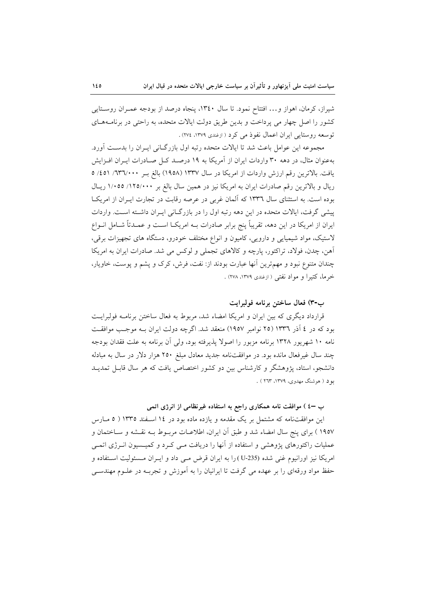شیراز، کرمان، اهواز و… افتتاح نمود. تا سال ۱۳٤۰، پنجاه درصد از بودجه عمـران روسـتایی کشور را اصل چهار می برداخت و بدین طریق دولت ایالات متحده، به راحتی در برنامـههـای توسعه روستايي ايران اعمال نفوذ مي كرد ( ازغندي ١٣٧٩، ٢٧٤).

مجموعه این عوامل باعث شد تا ایالات متحده رتبه اول بازرگـانی ایـران را بدسـت اَورد. بهعنوان مثال، در دهه ۳۰ واردات ایران از آمریکا به ۱۹ درصـد کـل صـادرات ایــران افــزایش یافت. بالاترین رقم ارزش واردات از امریکا در سال ۱۳۳۷ (۱۹۵۸) بالغ بـر ۷۳۶/۰۰۰/ ۵/۱/ ۵ ریال و بالاترین رقم صادرات ایران به امریکا نیز در همین سال بالغ بر ۱۲۵/۰۰۰ (۱۲۰۵ ریال بوده است. به استثنای سال ۱۳۳۲ که آلمان غربی در عرصه رقابت در تجارت ایـران از امریکـا پیشی گرفت، ایالات متحده در این دهه رتبه اول را در بازرگـانی ایـران داشـته اسـت. واردات ایران از امریکا در این دهه، تقریباً پنج برابر صادرات بــه امریکــا اســت و عمــدتاً شــامل انــواع لاستیک، مواد شیمیایی و دارویی، کامیون و انواع مختلف خودرو، دستگاه های تجهیزات برقی، اًهن، چدن، فولاد، تراکتور، پارچه و کالاهای تجملی و لوکس می شد. صادرات ایران به امریکا چندان متنوع نبود و مهمترین آنها عبارت بودند از: نفت، فرش، کرک و پشم و پوست، خاویار، خرما، كتيرا و مواد نفتى ( ازغندى ١٣٧٩، ٢٧٨) .

# ب-٣) فعال ساختن برنامه فولبرايت

قرارداد دیگری که بین ایران و امریکا امضاء شد، مربوط به فعال ساختن برنامــه فولبرایــت بود که در ٤ آذر ١٣٣٦ (٢٥ نوامبر ١٩٥٧) منعقد شد. اگرچه دولت ايران بــه موجـب موافقــت نامه ۱۰ شهریور ۱۳۲۸ برنامه مزبور را اصولا پذیرفته بود، ولی آن برنامه به علت فقدان بودجه چند سال غیرفعال مانده بود. در موافقتنامه جدید معادل مبلغ ۲۵۰ هزار دلار در سال به مبادله دانشجو، استاد، پژوهشگر و کارشناس بین دو کشور اختصاص یافت که هر سال قابـل تمدیــد بود ( هوشنگ مهدوی، ۱۳۷۹، ۲۶۳ ) .

### ب –٤ ) موافقت نامه همکاری راجع به استفاده غیرنظامی از انرژی اتمی

این موافقتنامه که مشتمل بر یک مقدمه و یازده ماده بود در ۱۶ اسـفند ۱۳۳۵ ( ۵ مـارس ۱۹۵۷ ) برای پنج سال امضاء شد و طبق آن ایران، اطلاعـات مربــوط بــه نقــشه و ســاختمان و عملیات راکتورهای پژوهشی و استفاده از آنها را دریافت مـی کـرد و کمیـسیون انــرژی اتمـی امریکا نیز اورانیوم غنی شده (U-235) را به ایران قرض مبی داد و ایـران مـسئولیت اسـتفاده و حفظ مواد ورقهای را بر عهده می گرفت تا ایرانیان را به أموزش و تجربــه در علــوم مهندســی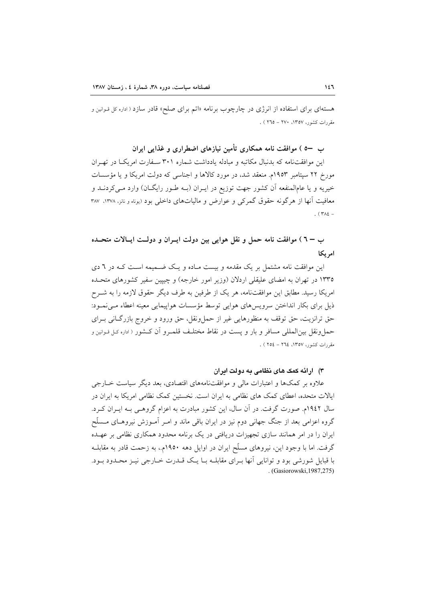هستهای برای استفاده از انرژی در چارچوب برنامه «اتم برای صلح» قادر سازد ( اداره کل قـوانین و مقررات کشور، ۱۳۵۷، ۲۷۰ – ۲٦٥ ) .

ب —٥ ) موافقت نامه همکاری تأمین نیازهای اضطراری و غذایی ایران

این موافقتنامه که بدنبال مکاتبه و مبادله یادداشت شماره ۳۰۱ سـفارت امریکا در تهـران مورخ ۲۲ سپتامبر ۱۹۵۳م. منعقد شد، در مورد کالاها و اجناسی که دولت امریکا و یا مؤسسات خیریه و یا عامالمنفعه آن کشور جهت توزیع در ایـران (بـه طـور رایگـان) وارد مـیکردنــد و معافیت آنها از هرگونه حقوق گمرکی و عوارض و مالیاتهای داخلی بود (یوناه و نانز، ۱۳۷۸، ۳۸۷ . ( $\Upsilon \wedge \Upsilon$  -

ب – ٦ ) موافقت نامه حمل و نقل هوايي بين دولت ايــران و دولــت ايــالات متحــده امر یکا

این موافقت نامه مشتمل بر یک مقدمه و بیست مـاده و یـک ضـمیمه اسـت کـه در ٦ دی ۱۳۳۵ در تهران به امضای علیقلی اردلان (وزیر امور خارجه) و چیپین سفیر کشورهای متحـده امریکا رسید. مطابق این موافقتنامه، هر یک از طرفین به طرف دیگر حقوق لازمه را به شــرح ذیل برای بکار انداختن سرویسهای هوایی توسط مؤسسات هواپیمایی معینه اعطاء مے نمـود: حق ترانزيت، حق توقف به منظورهايي غير از حملونقل، حق ورود و خروج بازرگـاني بـراي حملونقل بین|لمللی مسافر و بار و پست در نقاط مختلـف قلمـرو آن کـشور ( اداره کـل قـوانين و مقررات كشور، ١٣٥٧، ٢٦٤ - ٢٥٤ ) .

#### ۳) ارائه کمک های نظامی به دولت ایران

علاوه بر کمکها و اعتبارات مالی و موافقتنامههای اقتصادی، بعد دیگر سیاست خــارجی ایالات متحده، اعطای کمک های نظامی به ایران است. نخستین کمک نظامی امریکا به ایران در سال ۱۹٤۲م. صورت گرفت. در آن سال، این کشور مبادرت به اعزام گروهـی بـه ایــران کــرد. گروه اعزامی بعد از جنگ جهانی دوم نیز در ایران باقی ماند و امـر آمـوزش نیروهـای مــسلّح ایران را در امر همانند سازی تجهیزات دریافتی در یک برنامه محدود همکاری نظامی بر عهـده گرفت. اما با وجود این، نیروهای مسلَّح ایران در اوایل دهه ۱۹۵۰م.، به زحمت قادر به مقابلــه با قبایل شورشی بود و توانایی آنها بـرای مقابلـه بـا یـک قــدرت خــارجی نیــز محــدود بــود. . (Gasiorowski, 1987, 275)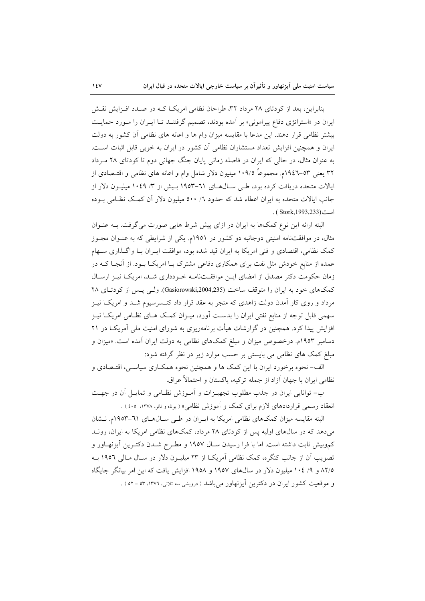بنابراین، بعد از کودتای ۲۸ مرداد ۳۲، طراحان نظامی امریک اکـه در صـدد افـزایش نقـش ایران در «استراتژی دفاع پیرامونی» بر آمده بودند، تصمیم گرفتنـد تـا ایـران را مـورد حمایـت بیشتر نظامی قرار دهند. این مدعا با مقایسه میزان وام ها و اعانه های نظامی آن کشور به دولت ایران و همچنین افزایش تعداد مستشاران نظامی آن کشور در ایران به خوبی قابل اثبات است. به عنوان مثال، در حالی که ایران در فاصله زمانی پایان جنگ جهانی دوم تا کودتای ۲۸ مـرداد ۳۲ یعنی ۵۳–۱۹٤۲م. مجموعاً ۱۰۹/۵ میلیون دلار شامل وام و اعانه های نظامی و اقتـصادی از ایالات متحده دریافت کرده بود، طبی سـالهـای ٦١-١٩٥٣ بـیش از ٣/ ١٠٤٩ میلیـون دلار از جانب ایالات متحده به ایران اعطاء شد که حدود ٦/ ٥٠٠ میلیون دلار آن کمک نظـامی بــوده است (Stork, 1993, 233).

البته ارائه این نوع کمکها به ایران در ازای پیش شرط هایی صورت می گرفت. بـه عنـوان مثال، در موافقتنامه امنیتی دوجانبه دو کشور در ۱۹۵۱م. یکی از شرایطی که به عنــوان مجــوز کمک نظامی، اقتصادی و فنی امریکا به ایران قید شده بود، موافقت ایـران بـا واگـذاری سـهام عمده از منابع خودش مثل نفت برای همکاری دفاعی مشترک بـا امریکـا بـود. از آنجـا کــه در زمان حکومت دکتر مصدق از امضای ایـن موافقـتنامـه خـودداری شـد، امریکـا نیـز ارسـال کمکهای خود به ایران را متوقف ساخت (Gasiorowski,2004,235). ولبی پس از کودتای ۲۸ مرداد و روی کار آمدن دولت زاهدی که منجر به عقد قرار داد کنــسرسیوم شــد و امریکــا نیــز سهمی قابل توجه از منابع نفتی ایران را بدست آورد، میـزان کمـک هـای نظـامی امریکـا نیـز افزایش پیدا کرد. همچنین در گزارشات هیأت برنامهریزی به شورای امنیت ملی آمریکـا در ۲۱ دسامبر ۱۹۵۳م. درخصوص میزان و مبلغ کمکهای نظامی به دولت ایران آمده است. «میزان و مبلغ کمک های نظامی می بایستی بر حسب موارد زیر در نظر گرفته شود:

الف- نحوه برخورد ايران با اين كمك ها و همچنين نحوه همكـاري سياسـي، اقتـصادي و نظامي ايران با جهان آزاد از جمله تركيه، ياكستان و احتمالاً عراق.

ب- توانایی ایران در جذب مطلوب تجهیـزات و آمـوزش نظـامی و تمایـل آن در جهـت انعقاد رسمی قراردادهای لازم برای کمک و آموزش نظامی» ( یوناه و نانز، ۱۳۷۸، ۱۰۵) .

البته مقایسه میزان کمکهای نظامی امریکا به ایـران در طـی سـال۵هـای ٦١-١٩٥٣م. نـشان می دهد که در سال های اولیه پس از کودتای ۲۸ مرداد، کمکهای نظامی امریکا به ایران، رونـد کموبیش ثابت داشته است. اما با فرا رسیدن سـال ۱۹۵۷ و مطـرح شــدن دکتـرین آیزنهــاور و تصویب آن از جانب کنگره، کمک نظامی آمریکـا از ۲۳ میلیـون دلار در سـال مـالی ۱۹۵۲ بـه ۸۲/۵ و ۹/ ۱۰٤ میلیون دلار در سال های ۱۹۵۷ و ۱۹۵۸ افزایش یافت که این امر بیانگر جایگاه و موقعیت کشور ایران در دکترین آیزنهاور میباشد ( درویشی سه تلانی، ١٣٧٦، ٥٣ - ٥٢ ) .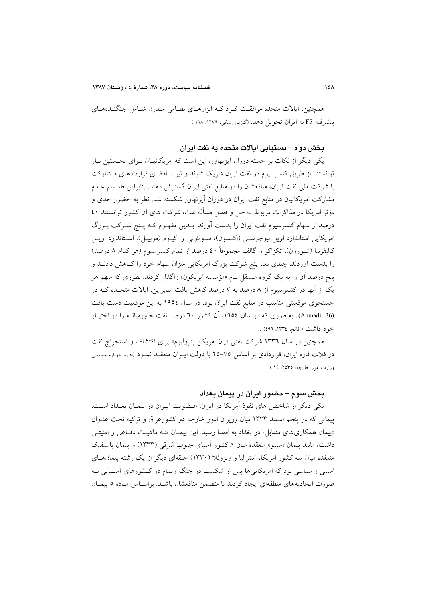همچنین، ایالات متحده موافقت که د کـه ابزارهـای نظـامی مـدرن شـامل جنگنـدههـای پیشرفته F5 به ایران تحویل دهد. (گازیوروسکی، ۱۳۷۹، ۱۱۸)

بخش دوم – دستيابي ايالات متحده به نفت ايران

یکی دیگر از نکات بر جسته دوران آیزنهاور، این است که امریکائیــان بــرای نخــستین بــار توانستند از طریق کنسرسیوم در نفت ایران شریک شوند و نیز با امضای قراردادهای مشارکت با شرکت ملی نفت ایران، منافعشان را در منابع نفتی ایران گسترش دهند. بنابراین طلسم عـدم مشارکت امریکائیان در منابع نفت ایران در دوران آیزنهاور شکسته شد. نظر به حضور جدی و مؤثر امریکا در مذاکرات مربوط به حل و فصل مسأله نفت، شرکت های آن کشور توانستند ٤٠ درصد از سهام کنسرسیوم نفت ایران را بدست آورند. بــدین مفهــوم کــه پــنج شــرکت بــزرگ امريكايي استاندارد اويل نيوجرسـي (اكـسون)، سـوكوني و اكيــوم (موبيــل)، اسـتاندارد اويــل کالیفرنیا (شیورون)، تکزاکو و گالف مجموعاً ٤٠ درصد از تمام کنسرسیوم (هر کدام ٨ درصد) را بدست آوردند. چندی بعد پنج شرکت بزرگ امریکایی میزان سهام خود را کـاهش دادنــد و پنج درصد آن را به یک گروه مستقل بنام «مؤسسه ایریکون» واگذار کردند. بطوری که سهم هر یک از آنها در کنسرسیوم از ۸ درصد به ۷ درصد کاهش یافت. بنابراین، ایالات متحـده کــه در جستجوی موقعیتی مناسب در منابع نفت ایران بود، در سال ۱۹۵٤ به این موقعیت دست یافت (Ahmadi, 36). به طوری که در سال ۱۹۵٤، آن کشور ٦٠ درصد نفت خاورميانـه را در اختيـار خود داشت ( فاتح، ١٣٣٤، ٤٩٩) .

همچنین در سال ۱۳۳٦ شرکت نفتی «یان امریکن پترولیوم» برای اکتشاف و استخراج نفت در فلات قاره ایران، قراردادی بر اساس ۷۵–۲۵ با دولت ایـران منعقــد نمـود (اداره چهـارم سیاسـی وزارت امور خارجه، ٢٥٣٥، ١٤) .

# بخش سوم – حضور ایران در پیمان بغداد

یکی دیگر از شاخص های نفوذ آمریکا در ایران، عـضویت ایـران در پیمـان بغـداد اسـت. پیمانی که در پنجم اسفند ۱۳۳۳ میان وزیران امور خارجه دو کشورعراق و ترکیه تحت عنـوان «پیمان همکاریهای متقابل» در بغداد به امضا رسید. این پیمـان کـه ماهیـت دفـاعی و امنیتـی داشت، مانند پیمان «سیتو» منعقده میان ۸ کشور آسیای جنوب شرقی (۱۳۳۳) و پیمان پاسیفیک منعقده میان سه کشور امریکا، استرالیا و ونزوئلا (۱۳۳۰) حلقهای دیگر از یک رشته پیمانهــای امنیتی و سیاسی بود که امریکایی ها پس از شکست در جنگ ویتنام در کـشورهای آسـیایی بـه صورت اتحادیههای منطقهای ایجاد کردند تا متضمن منافعشان باشـد. براسـاس مـاده ٥ پیمـان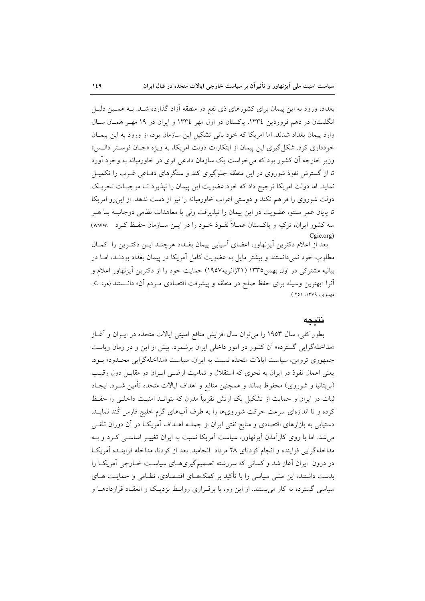بغداد، ورود به این پیمان برای کشورهای ذی نفع در منطقه آزاد گذارده شـد. بــه همــین دلیــل انگلستان در دهم فروردین ۱۳۳٤، پاکستان در اول مهر ۱۳۳٤ و ایران در ۱۹ مهـر همـان سـال وارد پیمان بغداد شدند. اما امریکا که خود بانی تشکیل این سازمان بود، از ورود به این پیمـان خودداری کرد. شکل گیری این پیمان از ابتکارات دولت امریکا، به ویژه «جـان فوسـتر دالـس» وزیر خارجه آن کشور بود که می خواست یک سازمان دفاعی قوی در خاورمیانه به وجود آورد تا از گسترش نفوذ شوروی در این منطقه جلوگیری کند و سنگرهای دفـاعی غـرب را تکمیـل نماید. اما دولت امریکا ترجیح داد که خود عضویت این پیمان را نیذیرد تـا موجبـات تحریـک دولت شوروی را فراهم نکند و دوستی اعراب خاورمیانه را نیز از دست ندهد. از این رو امریکا تا پایان عمر سنتو، عضویت در این پیمان را نیذیرفت ولی با معاهدات نظامی دوجانبـه بـا هـر سه کشور ایران، ترکیه و پاکستان عمـلاً نفـوذ خـود را در ایــن ســازمان حفـظ کـرد .www Cgie.org)

بعد از اعلام دکترین ایزنهاور، اعضای آسیایی پیمان بغداد هرچنـد ایـن دکتـرین را کمـال مطلوب خود نمیدانستند و بیشتر مایل به عضویت کامل آمریکا در پیمان بغداد بودنـد، امـا در بیانیه مشترکی در اول بهمن ۱۳۳۵ (۲۱ژانویه۱۹۵۷) حمایت خود را از دکترین آیزنهاور اعلام و آنرا «بهترین وسیله برای حفظ صلح در منطقه و پیشرفت اقتصادی مـردم آن» دانــستند (هوشـنگ مهدوي، ١٣٧٩، ٢٥١).

#### نتىحە

بطور کلی، سال ۱۹۵۳ را می توان سال افزایش منافع امنیتی ایالات متحده در ایــران و آغــاز «مداخلهگرایی گسترده» آن کشور در امور داخلی ایران برشمرد. پیش از این و در زمان ریاست جمهوري ترومن، سياست ايالات متحده نسبت به ايران، سياست «مداخلهگرايي محـدود» بـود. یعنی اعمال نفوذ در ایران به نحوی که استقلال و تمامیت ارضـی ایـران در مقابـل دول رقیـب (بريتانيا و شوروي) محفوظ بماند و همچنين منافع و اهداف ايالات متحده تأمين شــود. ايجــاد ثبات در ایران و حمایت از تشکیل یک ارتش تقریباً مدرن که بتوانـد امنیـت داخلـی را حفـظ کرده و تا اندازهای سرعت حرکت شورویها را به طرف آبهای گرم خلیج فارس کُند نمایــد. دستیابی به بازارهای اقتصادی و منابع نفتی ایران از جملـه اهــداف آمریکــا در آن دوران تلقــی می شد. اما با روی کارآمدن آیزنهاور، سیاست آمریکا نسبت به ایران تغییـر اساســی کــرد و بــه مداخله گرایی فزاینده و انجام کودتای ۲۸ مرداد انجامید. بعد از کودتا، مداخله فزاینیده آمریکیا در درون ایران آغاز شد و کسانی که سررشته تصمیمگیریهـای سیاسـت خــارجی اَمریکـا را بدست داشتند، این مشی سیاسی را با تأکید بر کمکهـای اقتـصادی، نظـامی و حمایـت هـای سیاسی گسترده به کار می بستند. از این رو، با برقـراری روابـط نزدیـک و انعقـاد قراردادهـا و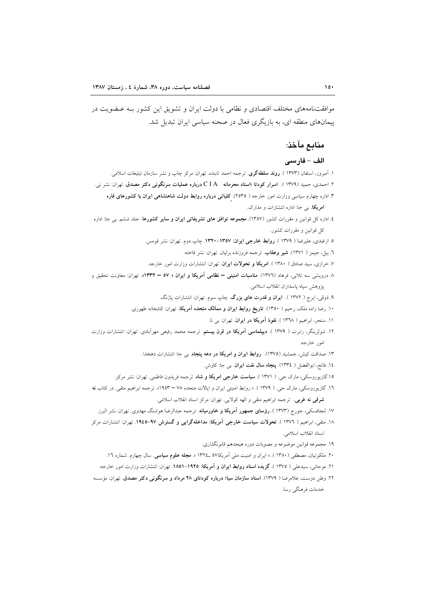موافقتنامههای مختلف اقتصادی و نظامی با دولت ایران و تشویق این کشور بـه عـضویت در پیمانهای منطقه ای، به بازیگری فعال در صحنه سیاسی ایران تبدیل شد.

# مناىع مآخذ:

#### الف - فارسى

۱. آمبروز، استفان (۱۳۷۳ ). **روند سلطهگری**. ترجمه احمد تابنده. تهران: مرکز چاپ و نشر سازمان تبلیغات اسلامی. ۲. احمدی، حمید (۱۳۷۹ ). اسرار کودتا ؛اسناد محرمانه  $\rm{~C~I~A}$  درباره عملیات سرنگونی دکتر مصدق. تهران: نشر نی. ۳. اداره چهارم سیاسی وزارت امور خارجه ( ۲۵۳۵). کلیاتی <mark>درباره روابط دولت شاهنشاهی ایران با کشورهای قاره</mark> امریکا. بی جا: اداره انتشارات و مدارک. ٤. اداره كل قوانين و مقررات كشور (١٣٥٧). مجموعه توافق هاى تشريفاتى ايران و ساير كشورها. جلد ششم. بى جا: اداره کل قوانین و مقررات کشور. ٥. ازغندي، عليرضا ( ١٣٧٩ ). روابط خارجي ايران: ١٣٥٧-١٣٢٠. چاپ دوم. تهران: نشر قومس. ٦. بيل، جيمز ( ١٣٧١). **شير وعقاب**. ترجمه فروزنده برليان. تهران: نشر فاخته. ۷. خرازی، سید صادق ( ۱۳۸۰ ). امریکا و تحولات ایران. تهران: انتشارات وزارت امور خارجه. ۸ درویشی سه تلانی، فرهاد (١٣٧٦). مناسبات امنیتی – نظامی آمریکا و ایران « ٥٧ – ١٣٣٢». تهران: معاونت تحقیق و يؤوهش سياه ياسداران انقلاب اسلامي. ۹. ذوقی، ایرج ( ۱۳۷۲ ). **ایران و قدرت های بزرگ**. چاپ سوم. تهران: انتشارات پاژنگ. ۱۰. رضا زاده ملک، رحیم ( ۱۳۵۰). **تاریخ روابط ایران و ممالک متحده آمریکا**. تهران: کتابخانه طهوری. ١١. سنجر، ابراهيم ( ١٣٦٨ ). نفوذ آمريكا در ايران. تهران: بي نا. ۱۲. شولزینگر، رابرت ( ۱۳۷۹ ). **دیپلماسی آمریکا در قرن بیستم**. ترجمه محمد رفیعی مهرآبادی. تهران: انتشارات وزارت امور خارجه. ۱۳. صداقت کیش، جمشید (۱۳۷۵). <mark>روابط ایران و امریکا در دهه پنجاه</mark>. ب<sub>ی</sub> جا: انتشارات دهخدا. ١٤. فاتح، ابوالفضل ( ١٣٣٤). پنجاه سال نفت ايران. بي جا: كاوش. ۱۵.گازیوروسکی، مارک جی. ( ۱۳۷۱ ). **سیاست خارجی امریکا و شاه**. ترجمه فریدون فاطمی. تهران: نشر مرکز. ۱۲. گازیوروسکی، مارک جی. ( ۱۳۷۹ ). « روابط امنیتی ایران و ایالات متحده ۷۸ – ۱۹۵۳». ترجمه ابراهیم متقی. در کتاب نه **شرقی نه غربی**. ترجمه ابراهیم متقی و الهه کولایی. تهران: مرکز اسناد انقلاب اسلامی. ۱۷. لنجافسکی، جورج (۱۳۷۳ ). **رؤسای جمهور آمریکا و خاورمیانه**. ترجمه عبدالرضا هوشنگ مهدوی. تهران: نشر البرز. ۱۸. متقی، ابراهیم ( ۱۳۷۲ ). تحولات سیاست خارجی آمریکا: مداخلهگرایی و گسترش ۹۷-۱۹٤۵. تهران: انتشارات مرکز اسناد انقلاب اسلامی. ۱۹. مجموعه قوانین موضوعه و مصوبات دوره هیجدهم قانونگذاری. ۲۰. ملکوتیان، مصطفی (۱۳۸۰). « ایران و امنیت ملی آمریکا۵۷ ـ۱۳۲٤ ». مجله علوم **سیاسی**. سال چهارم. شماره ۱۲. ۲۱. موجانی، سیدعلی ( ۱۳۷۵ ). **گزیده اسناد روابط ایران و آمریکا: ۱۹۲**۵–۱۸۵۱. تهران: انتشارات وزارت امور خارجه. ۲۲. وطن دوست، غلامرضا ( ۱۳۷۹). <mark>اسناد سازمان سیا؛ درباره کودتای ۲۸ مرداد و سرنگونی دکتر مصدق</mark>. تهران: مؤسسه خدمات فرهنگی رسا.